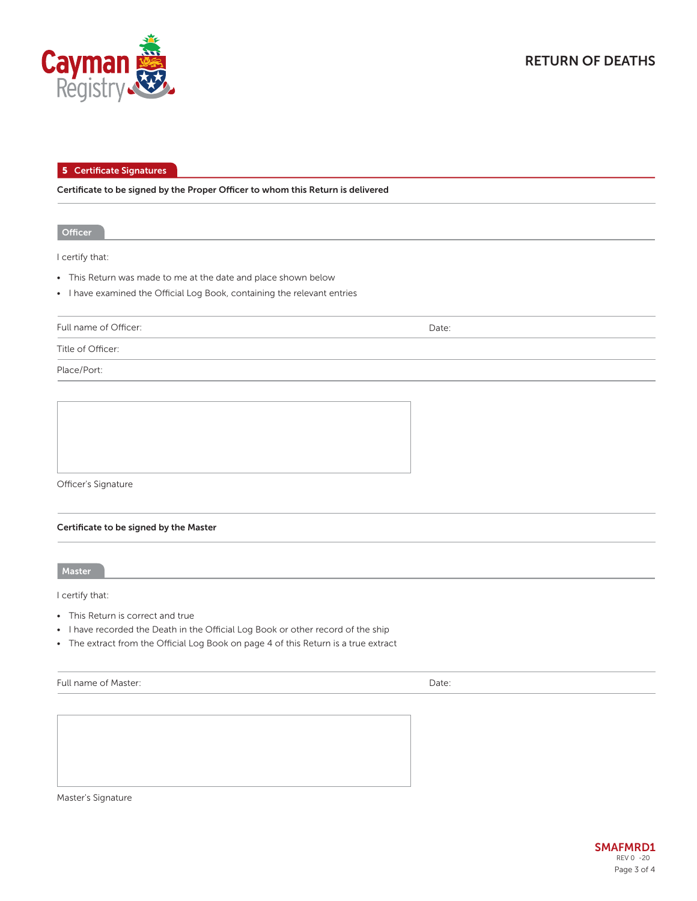

**5 Certificate Signatures**

**Certificate to be signed by the Proper Officer to whom this Return is delivered**

**Officer**

I certify that:

- This Return was made to me at the date and place shown below
- I have examined the Official Log Book, containing the relevant entries

Full name of Officer:

Date:

Title of Officer:

Place/Port:



## **Certificate to be signed by the Master**

**Master**

I certify that:

- This Return is correct and true
- I have recorded the Death in the Official Log Book or other record of the ship
- The extract from the Official Log Book on page 4 of this Return is a true extract

| Full name of Master: | Date: |
|----------------------|-------|
|----------------------|-------|

Master's Signature